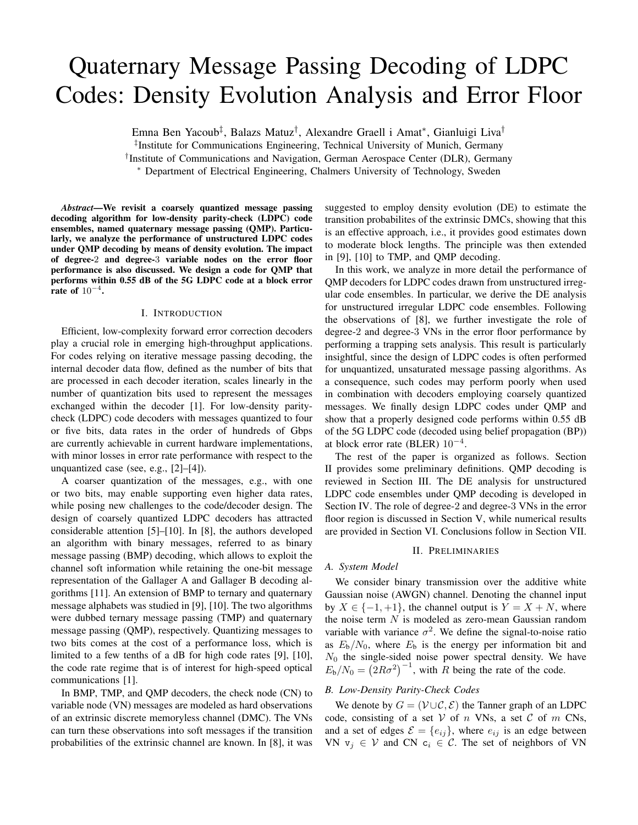# Quaternary Message Passing Decoding of LDPC Codes: Density Evolution Analysis and Error Floor

Emna Ben Yacoub<sup>‡</sup>, Balazs Matuz<sup>†</sup>, Alexandre Graell i Amat<sup>∗</sup>, Gianluigi Liva<sup>†</sup>

‡ Institute for Communications Engineering, Technical University of Munich, Germany

† Institute of Communications and Navigation, German Aerospace Center (DLR), Germany

<sup>∗</sup> Department of Electrical Engineering, Chalmers University of Technology, Sweden

*Abstract*—We revisit a coarsely quantized message passing decoding algorithm for low-density parity-check (LDPC) code ensembles, named quaternary message passing (QMP). Particularly, we analyze the performance of unstructured LDPC codes under QMP decoding by means of density evolution. The impact of degree-2 and degree-3 variable nodes on the error floor performance is also discussed. We design a code for QMP that performs within 0.55 dB of the 5G LDPC code at a block error rate of  $10^{-4}$ .

#### I. INTRODUCTION

Efficient, low-complexity forward error correction decoders play a crucial role in emerging high-throughput applications. For codes relying on iterative message passing decoding, the internal decoder data flow, defined as the number of bits that are processed in each decoder iteration, scales linearly in the number of quantization bits used to represent the messages exchanged within the decoder [1]. For low-density paritycheck (LDPC) code decoders with messages quantized to four or five bits, data rates in the order of hundreds of Gbps are currently achievable in current hardware implementations, with minor losses in error rate performance with respect to the unquantized case (see, e.g., [2]–[4]).

A coarser quantization of the messages, e.g., with one or two bits, may enable supporting even higher data rates, while posing new challenges to the code/decoder design. The design of coarsely quantized LDPC decoders has attracted considerable attention [5]–[10]. In [8], the authors developed an algorithm with binary messages, referred to as binary message passing (BMP) decoding, which allows to exploit the channel soft information while retaining the one-bit message representation of the Gallager A and Gallager B decoding algorithms [11]. An extension of BMP to ternary and quaternary message alphabets was studied in [9], [10]. The two algorithms were dubbed ternary message passing (TMP) and quaternary message passing (QMP), respectively. Quantizing messages to two bits comes at the cost of a performance loss, which is limited to a few tenths of a dB for high code rates [9], [10], the code rate regime that is of interest for high-speed optical communications [1].

In BMP, TMP, and QMP decoders, the check node (CN) to variable node (VN) messages are modeled as hard observations of an extrinsic discrete memoryless channel (DMC). The VNs can turn these observations into soft messages if the transition probabilities of the extrinsic channel are known. In [8], it was suggested to employ density evolution (DE) to estimate the transition probabilites of the extrinsic DMCs, showing that this is an effective approach, i.e., it provides good estimates down to moderate block lengths. The principle was then extended in [9], [10] to TMP, and QMP decoding.

In this work, we analyze in more detail the performance of QMP decoders for LDPC codes drawn from unstructured irregular code ensembles. In particular, we derive the DE analysis for unstructured irregular LDPC code ensembles. Following the observations of [8], we further investigate the role of degree-2 and degree-3 VNs in the error floor performance by performing a trapping sets analysis. This result is particularly insightful, since the design of LDPC codes is often performed for unquantized, unsaturated message passing algorithms. As a consequence, such codes may perform poorly when used in combination with decoders employing coarsely quantized messages. We finally design LDPC codes under QMP and show that a properly designed code performs within 0.55 dB of the 5G LDPC code (decoded using belief propagation (BP)) at block error rate (BLER)  $10^{-4}$ .

The rest of the paper is organized as follows. Section II provides some preliminary definitions. QMP decoding is reviewed in Section III. The DE analysis for unstructured LDPC code ensembles under QMP decoding is developed in Section IV. The role of degree-2 and degree-3 VNs in the error floor region is discussed in Section V, while numerical results are provided in Section VI. Conclusions follow in Section VII.

## II. PRELIMINARIES

## *A. System Model*

We consider binary transmission over the additive white Gaussian noise (AWGN) channel. Denoting the channel input by  $X \in \{-1, +1\}$ , the channel output is  $Y = X + N$ , where the noise term  $N$  is modeled as zero-mean Gaussian random variable with variance  $\sigma^2$ . We define the signal-to-noise ratio as  $E_b/N_0$ , where  $E_b$  is the energy per information bit and  $N_0$  the single-sided noise power spectral density. We have  $E_b/N_0 = (2R\sigma^2)^{-1}$ , with R being the rate of the code.

#### *B. Low-Density Parity-Check Codes*

We denote by  $G = (\mathcal{V} \cup \mathcal{C}, \mathcal{E})$  the Tanner graph of an LDPC code, consisting of a set  $V$  of n VNs, a set  $C$  of m CNs, and a set of edges  $\mathcal{E} = \{e_{ij}\}\$ , where  $e_{ij}$  is an edge between VN  $v_i \in V$  and CN  $c_i \in C$ . The set of neighbors of VN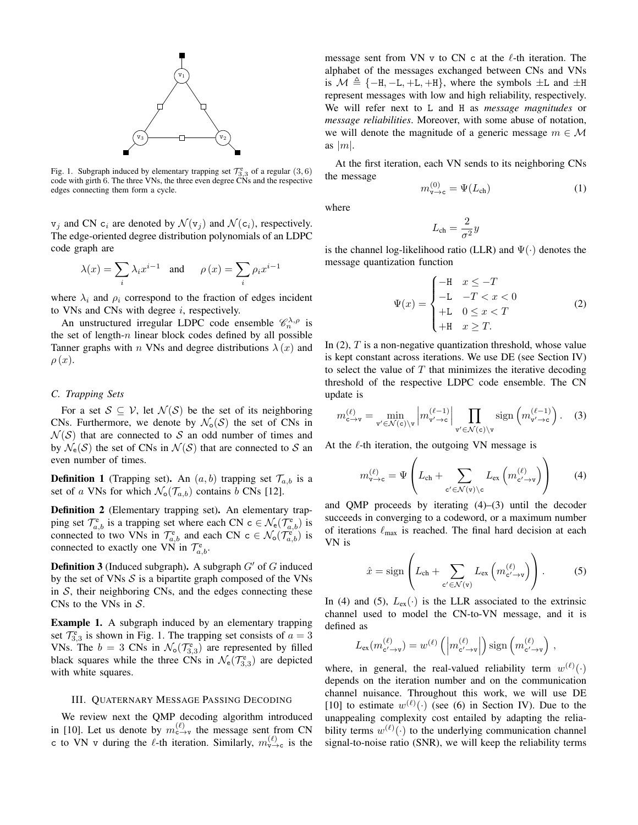

Fig. 1. Subgraph induced by elementary trapping set  $\mathcal{T}_{3,3}^e$  of a regular (3,6) code with girth 6. The three VNs, the three even degree CNs and the respective edges connecting them form a cycle.

 $v_j$  and CN  $c_i$  are denoted by  $\mathcal{N}(v_j)$  and  $\mathcal{N}(c_i)$ , respectively. The edge-oriented degree distribution polynomials of an LDPC code graph are

$$
\lambda(x)=\sum_i\lambda_ix^{i-1}\quad\text{and}\quad\quad\rho\left(x\right)=\sum_i\rho_ix^{i-1}
$$

where  $\lambda_i$  and  $\rho_i$  correspond to the fraction of edges incident to VNs and CNs with degree  $i$ , respectively.

An unstructured irregular LDPC code ensemble  $\mathcal{C}_n^{\lambda,\rho}$  is the set of length- $n$  linear block codes defined by all possible Tanner graphs with n VNs and degree distributions  $\lambda(x)$  and  $\rho(x)$ .

## *C. Trapping Sets*

For a set  $S \subseteq V$ , let  $\mathcal{N}(S)$  be the set of its neighboring CNs. Furthermore, we denote by  $\mathcal{N}_{o}(\mathcal{S})$  the set of CNs in  $\mathcal{N}(\mathcal{S})$  that are connected to S an odd number of times and by  $\mathcal{N}_{e}(\mathcal{S})$  the set of CNs in  $\mathcal{N}(\mathcal{S})$  that are connected to S and even number of times.

**Definition 1** (Trapping set). An  $(a, b)$  trapping set  $\mathcal{T}_{a,b}$  is a set of a VNs for which  $\mathcal{N}_{\text{o}}(\mathcal{T}_{a,b})$  contains b CNs [12].

Definition 2 (Elementary trapping set). An elementary trapping set  $\mathcal{T}_{a,b}^e$  is a trapping set where each CN  $c \in \mathcal{N}_e(\mathcal{T}_{a,b}^e)$  is connected to two VNs in  $\mathcal{T}_{a,b}^e$  and each CN  $c \in \mathcal{N}_o(\mathcal{T}_{a,b}^e)$  is connected to exactly one VN in  $\mathcal{T}_{a,b}^e$ .

**Definition 3** (Induced subgraph). A subgraph  $G'$  of G induced by the set of VNs  $S$  is a bipartite graph composed of the VNs in  $S$ , their neighboring CNs, and the edges connecting these CNs to the VNs in  $S$ .

Example 1. A subgraph induced by an elementary trapping set  $\mathcal{T}_{3,3}^e$  is shown in Fig. 1. The trapping set consists of  $a = 3$ VNs. The  $b = 3$  CNs in  $\mathcal{N}_0(\mathcal{T}_{3,3}^e)$  are represented by filled black squares while the three CNs in  $\mathcal{N}_e(\mathcal{T}_{3,3}^e)$  are depicted with white squares.

## III. QUATERNARY MESSAGE PASSING DECODING

We review next the QMP decoding algorithm introduced in [10]. Let us denote by  $m_{c \to v}^{(\ell)}$  the message sent from CN c to VN v during the  $\ell$ -th iteration. Similarly,  $m_{\nu \to c}^{(\ell)}$  is the message sent from VN v to CN c at the  $\ell$ -th iteration. The alphabet of the messages exchanged between CNs and VNs is  $\mathcal{M} \triangleq \{-H, -L, +L, +H\}$ , where the symbols  $\pm L$  and  $\pm H$ represent messages with low and high reliability, respectively. We will refer next to L and H as *message magnitudes* or *message reliabilities*. Moreover, with some abuse of notation, we will denote the magnitude of a generic message  $m \in \mathcal{M}$ as  $|m|$ .

At the first iteration, each VN sends to its neighboring CNs the message

$$
m_{\mathbf{v}\to\mathbf{c}}^{(0)} = \Psi(L_{\text{ch}})
$$
 (1)

where

$$
L_{\rm ch} = \frac{2}{\sigma^2} y
$$

is the channel log-likelihood ratio (LLR) and  $\Psi(\cdot)$  denotes the message quantization function

$$
\Psi(x) = \begin{cases}\n-\text{H} & x \leq -T \\
-\text{L} & -T < x < 0 \\
+\text{L} & 0 \leq x < T \\
+\text{H} & x \geq T.\n\end{cases} \tag{2}
$$

In  $(2)$ , T is a non-negative quantization threshold, whose value is kept constant across iterations. We use DE (see Section IV) to select the value of  $T$  that minimizes the iterative decoding threshold of the respective LDPC code ensemble. The CN update is

$$
m_{\mathbf{c}\to\mathbf{v}}^{(\ell)} = \min_{\mathbf{v}'\in\mathcal{N}(\mathbf{c})\backslash\mathbf{v}} \left| m_{\mathbf{v}'\to\mathbf{c}}^{(\ell-1)} \right| \prod_{\mathbf{v}'\in\mathcal{N}(\mathbf{c})\backslash\mathbf{v}} \text{sign}\left(m_{\mathbf{v}'\to\mathbf{c}}^{(\ell-1)}\right). \tag{3}
$$

At the  $\ell$ -th iteration, the outgoing VN message is

$$
m_{\mathtt{v}\to\mathtt{c}}^{(\ell)} = \Psi \left( L_{\mathtt{ch}} + \sum_{\mathtt{c}' \in \mathcal{N}(\mathtt{v}) \backslash \mathtt{c}} L_{\mathtt{ex}} \left( m_{\mathtt{c}' \to \mathtt{v}}^{(\ell)} \right) \right) \tag{4}
$$

and QMP proceeds by iterating (4)–(3) until the decoder succeeds in converging to a codeword, or a maximum number of iterations  $\ell_{\text{max}}$  is reached. The final hard decision at each VN is

$$
\hat{x} = \text{sign}\left(L_{\text{ch}} + \sum_{\mathbf{c}' \in \mathcal{N}(\mathbf{v})} L_{\text{ex}}\left(m_{\mathbf{c}' \to \mathbf{v}}^{(\ell)}\right)\right). \tag{5}
$$

In (4) and (5),  $L_{ex}(\cdot)$  is the LLR associated to the extrinsic channel used to model the CN-to-VN message, and it is defined as

$$
L_{\text{ex}}(m_{\mathbf{c}' \to \mathbf{v}}^{(\ell)}) = w^{(\ell)}\left(\left|m_{\mathbf{c}' \to \mathbf{v}}^{(\ell)}\right|\right) \text{sign}\left(m_{\mathbf{c}' \to \mathbf{v}}^{(\ell)}\right),
$$

where, in general, the real-valued reliability term  $w^{(\ell)}(\cdot)$ depends on the iteration number and on the communication channel nuisance. Throughout this work, we will use DE [10] to estimate  $w^{(\ell)}(\cdot)$  (see (6) in Section IV). Due to the unappealing complexity cost entailed by adapting the reliability terms  $w^{(\ell)}(\cdot)$  to the underlying communication channel signal-to-noise ratio (SNR), we will keep the reliability terms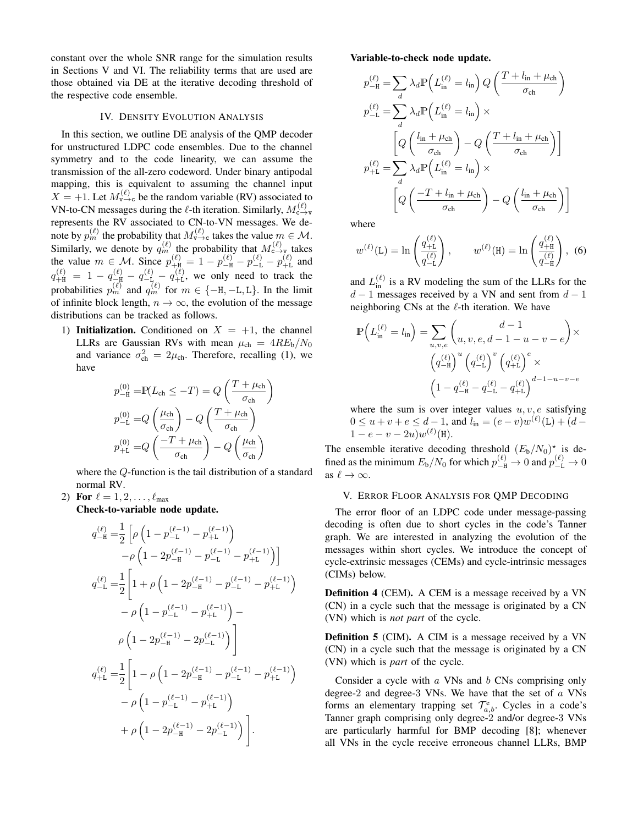constant over the whole SNR range for the simulation results in Sections V and VI. The reliability terms that are used are those obtained via DE at the iterative decoding threshold of the respective code ensemble.

### IV. DENSITY EVOLUTION ANALYSIS

In this section, we outline DE analysis of the QMP decoder for unstructured LDPC code ensembles. Due to the channel symmetry and to the code linearity, we can assume the transmission of the all-zero codeword. Under binary antipodal mapping, this is equivalent to assuming the channel input  $X = +1$ . Let  $M_{v\to c}^{(\ell)}$  be the random variable (RV) associated to VN-to-CN messages during the  $\ell$ -th iteration. Similarly,  $M_{c \to v}^{(\ell)}$ represents the RV associated to CN-to-VN messages. We denote by  $p_m^{(\ell)}$  the probability that  $M_{\nu \to c}^{(\ell)}$  takes the value  $m \in \mathcal{M}$ . Similarly, we denote by  $q_m^{(\ell)}$  the probability that  $M_{c \to v}^{(\ell)}$  takes the value  $m \in \mathcal{M}$ . Since  $p_{+H}^{(\ell)} = 1 - p_{-H}^{(\ell)} - p_{-L}^{(\ell)} - p_{+L}^{(\ell)}$  and  $q_{+H}^{(\ell)} = 1 - q_{-H}^{(\ell)} - q_{-L}^{(\ell)} - q_{+L}^{(\ell)}$ , we only need to track the probabilities  $p_m^{(\ell)}$  and  $q_m^{(\ell)}$  for  $m \in \{-H, -L, L\}$ . In the limit of infinite block length,  $n \to \infty$ , the evolution of the message distributions can be tracked as follows.

1) Initialization. Conditioned on  $X = +1$ , the channel LLRs are Gaussian RVs with mean  $\mu_{ch} = 4RE_b/N_0$ and variance  $\sigma_{ch}^2 = 2\mu_{ch}$ . Therefore, recalling (1), we have

$$
p_{-\mathrm{H}}^{(0)} = \mathbb{P}(L_{\mathrm{ch}} \leq -T) = Q\left(\frac{T + \mu_{\mathrm{ch}}}{\sigma_{\mathrm{ch}}}\right)
$$

$$
p_{-\mathrm{L}}^{(0)} = Q\left(\frac{\mu_{\mathrm{ch}}}{\sigma_{\mathrm{ch}}}\right) - Q\left(\frac{T + \mu_{\mathrm{ch}}}{\sigma_{\mathrm{ch}}}\right)
$$

$$
p_{+\mathrm{L}}^{(0)} = Q\left(\frac{-T + \mu_{\mathrm{ch}}}{\sigma_{\mathrm{ch}}}\right) - Q\left(\frac{\mu_{\mathrm{ch}}}{\sigma_{\mathrm{ch}}}\right)
$$

where the Q-function is the tail distribution of a standard normal RV.

2) For  $\ell = 1, 2, ..., \ell_{\text{max}}$ 

Check-to-variable node update.

$$
\begin{split} q_{-\mathtt{H}}^{(\ell)}=&\frac{1}{2}\left[\rho\left(1-p_{-\mathtt{L}}^{(\ell-1)}-p_{+\mathtt{L}}^{(\ell-1)}\right)\right.\\&\left.\left.-\rho\left(1-2p_{-\mathtt{H}}^{(\ell-1)}-p_{-\mathtt{L}}^{(\ell-1)}-p_{+\mathtt{L}}^{(\ell-1)}\right)\right]\right.\\&\left.q_{-\mathtt{L}}^{(\ell)}=\frac{1}{2}\left[1+\rho\left(1-2p_{-\mathtt{H}}^{(\ell-1)}-p_{-\mathtt{L}}^{(\ell-1)}-p_{+\mathtt{L}}^{(\ell-1)}\right)\right.\\&\left.-\rho\left(1-p_{-\mathtt{L}}^{(\ell-1)}-p_{+\mathtt{L}}^{(\ell-1)}\right)\right.\\&\left.\left.\rho\left(1-2p_{-\mathtt{H}}^{(\ell-1)}-2p_{-\mathtt{L}}^{(\ell-1)}\right)\right]\right.\\&\left.q_{+\mathtt{L}}^{(\ell)}=\frac{1}{2}\left[1-\rho\left(1-2p_{-\mathtt{H}}^{(\ell-1)}-p_{-\mathtt{L}}^{(\ell-1)}-p_{+\mathtt{L}}^{(\ell-1)}\right)\right.\\&\left.-\rho\left(1-p_{-\mathtt{L}}^{(\ell-1)}-p_{+\mathtt{L}}^{(\ell-1)}\right)\right.\\&\left.\left.+\rho\left(1-2p_{-\mathtt{H}}^{(\ell-1)}-2p_{-\mathtt{L}}^{(\ell-1)}\right)\right]. \end{split}
$$

## Variable-to-check node update.

$$
p_{-\mathrm{H}}^{(\ell)} = \sum_{d} \lambda_{d} \mathbb{P}\left(L_{\mathrm{in}}^{(\ell)} = l_{\mathrm{in}}\right) Q\left(\frac{T + l_{\mathrm{in}} + \mu_{\mathrm{ch}}}{\sigma_{\mathrm{ch}}}\right)
$$

$$
p_{-\mathrm{L}}^{(\ell)} = \sum_{d} \lambda_{d} \mathbb{P}\left(L_{\mathrm{in}}^{(\ell)} = l_{\mathrm{in}}\right) \times
$$

$$
\left[Q\left(\frac{l_{\mathrm{in}} + \mu_{\mathrm{ch}}}{\sigma_{\mathrm{ch}}}\right) - Q\left(\frac{T + l_{\mathrm{in}} + \mu_{\mathrm{ch}}}{\sigma_{\mathrm{ch}}}\right)\right]
$$

$$
p_{+\mathrm{L}}^{(\ell)} = \sum_{d} \lambda_{d} \mathbb{P}\left(L_{\mathrm{in}}^{(\ell)} = l_{\mathrm{in}}\right) \times
$$

$$
\left[Q\left(\frac{-T + l_{\mathrm{in}} + \mu_{\mathrm{ch}}}{\sigma_{\mathrm{ch}}}\right) - Q\left(\frac{l_{\mathrm{in}} + \mu_{\mathrm{ch}}}{\sigma_{\mathrm{ch}}}\right)\right]
$$

where

$$
w^{(\ell)}(\mathsf{L}) = \ln\left(\frac{q_{+\mathsf{L}}^{(\ell)}}{q_{-\mathsf{L}}^{(\ell)}}\right), \qquad w^{(\ell)}(\mathsf{H}) = \ln\left(\frac{q_{+\mathsf{H}}^{(\ell)}}{q_{-\mathsf{H}}^{(\ell)}}\right), \tag{6}
$$

and  $L_{\text{in}}^{(\ell)}$  is a RV modeling the sum of the LLRs for the  $d-1$  messages received by a VN and sent from  $d-1$ neighboring CNs at the  $\ell$ -th iteration. We have

$$
\mathbb{P}\left(L_{\text{in}}^{(\ell)} = l_{\text{in}}\right) = \sum_{u,v,e} \binom{d-1}{u,v,e,d-1-u-v-e} \times \left(q_{-\text{H}}^{(\ell)}\right)^{u} \left(q_{-\text{L}}^{(\ell)}\right)^{v} \left(q_{+\text{L}}^{(\ell)}\right)^{e} \times \left(1 - q_{-\text{H}}^{(\ell)} - q_{-\text{L}}^{(\ell)} - q_{+\text{L}}^{(\ell)}\right)^{d-1-u-v-e}
$$

where the sum is over integer values  $u, v, e$  satisfying  $0 \le u + v + e \le d - 1$ , and  $l_{\text{in}} = (e - v)w^{(\ell)}(\mathsf{L}) + (d 1-e-v-2u)w^{(\ell)}(\mathbf{H}).$ 

The ensemble iterative decoding threshold  $(E_b/N_0)^*$  is defined as the minimum  $E_{\rm b}/N_0$  for which  $p_{-\rm H}^{(\ell)} \to 0$  and  $p_{-\rm L}^{(\ell)} \to 0$ as  $\ell \to \infty$ .

## V. ERROR FLOOR ANALYSIS FOR QMP DECODING

The error floor of an LDPC code under message-passing decoding is often due to short cycles in the code's Tanner graph. We are interested in analyzing the evolution of the messages within short cycles. We introduce the concept of cycle-extrinsic messages (CEMs) and cycle-intrinsic messages (CIMs) below.

Definition 4 (CEM). A CEM is a message received by a VN (CN) in a cycle such that the message is originated by a CN (VN) which is *not part* of the cycle.

Definition 5 (CIM). A CIM is a message received by a VN (CN) in a cycle such that the message is originated by a CN (VN) which is *part* of the cycle.

Consider a cycle with a VNs and b CNs comprising only degree-2 and degree-3 VNs. We have that the set of  $a$  VNs forms an elementary trapping set  $\mathcal{T}_{a,b}^e$ . Cycles in a code's Tanner graph comprising only degree-2 and/or degree-3 VNs are particularly harmful for BMP decoding [8]; whenever all VNs in the cycle receive erroneous channel LLRs, BMP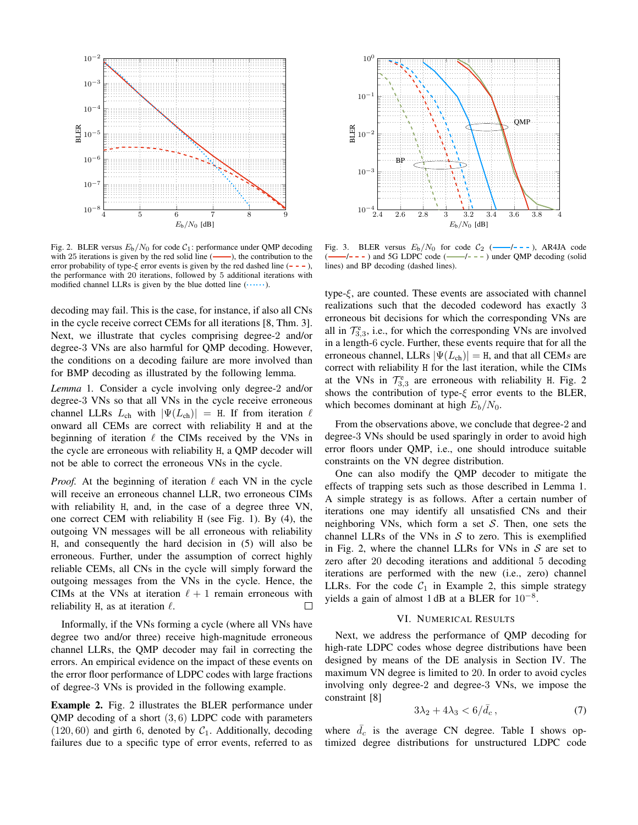

Fig. 2. BLER versus  $E_b/N_0$  for code  $C_1$ : performance under QMP decoding with 25 iterations is given by the red solid line (——). the contribution to the with 25 iterations is given by the red solid line  $($ error probability of type- $\xi$  error events is given by the red dashed line  $(- - -)$ , the performance with 20 iterations, followed by 5 additional iterations with modified channel LLRs is given by the blue dotted line  $($ ......).

decoding may fail. This is the case, for instance, if also all CNs in the cycle receive correct CEMs for all iterations [8, Thm. 3]. Next, we illustrate that cycles comprising degree-2 and/or degree-3 VNs are also harmful for QMP decoding. However, the conditions on a decoding failure are more involved than for BMP decoding as illustrated by the following lemma.

*Lemma* 1*.* Consider a cycle involving only degree-2 and/or degree-3 VNs so that all VNs in the cycle receive erroneous channel LLRs  $L_{ch}$  with  $|\Psi(L_{ch})| = H$ . If from iteration  $\ell$ onward all CEMs are correct with reliability H and at the beginning of iteration  $\ell$  the CIMs received by the VNs in the cycle are erroneous with reliability H, a QMP decoder will not be able to correct the erroneous VNs in the cycle.

*Proof.* At the beginning of iteration  $\ell$  each VN in the cycle will receive an erroneous channel LLR, two erroneous CIMs with reliability H, and, in the case of a degree three VN, one correct CEM with reliability H (see Fig. 1). By (4), the outgoing VN messages will be all erroneous with reliability H, and consequently the hard decision in (5) will also be erroneous. Further, under the assumption of correct highly reliable CEMs, all CNs in the cycle will simply forward the outgoing messages from the VNs in the cycle. Hence, the CIMs at the VNs at iteration  $\ell + 1$  remain erroneous with reliability H, as at iteration  $\ell$ .  $\Box$ 

Informally, if the VNs forming a cycle (where all VNs have degree two and/or three) receive high-magnitude erroneous channel LLRs, the QMP decoder may fail in correcting the errors. An empirical evidence on the impact of these events on the error floor performance of LDPC codes with large fractions of degree-3 VNs is provided in the following example.

Example 2. Fig. 2 illustrates the BLER performance under OMP decoding of a short  $(3, 6)$  LDPC code with parameters  $(120, 60)$  and girth 6, denoted by  $C_1$ . Additionally, decoding failures due to a specific type of error events, referred to as



Fig. 3. BLER versus  $E_b/N_0$  for code  $C_2$  (---/---), AR4JA code (--/---) and 5G LDPC code (--/---) under OMP decoding (solid)  $-/- -$ ) under QMP decoding (solid lines) and BP decoding (dashed lines).

type- $\xi$ , are counted. These events are associated with channel realizations such that the decoded codeword has exactly 3 erroneous bit decisions for which the corresponding VNs are all in  $\mathcal{T}_{3,3}^e$ , i.e., for which the corresponding VNs are involved in a length-6 cycle. Further, these events require that for all the erroneous channel, LLRs  $|\Psi(L_{ch})| = H$ , and that all CEMs are correct with reliability H for the last iteration, while the CIMs at the VNs in  $\mathcal{T}_{3,3}^e$  are erroneous with reliability H. Fig. 2 shows the contribution of type- $\xi$  error events to the BLER, which becomes dominant at high  $E_b/N_0$ .

From the observations above, we conclude that degree-2 and degree-3 VNs should be used sparingly in order to avoid high error floors under QMP, i.e., one should introduce suitable constraints on the VN degree distribution.

One can also modify the QMP decoder to mitigate the effects of trapping sets such as those described in Lemma 1. A simple strategy is as follows. After a certain number of iterations one may identify all unsatisfied CNs and their neighboring VNs, which form a set  $S$ . Then, one sets the channel LLRs of the VNs in  $S$  to zero. This is exemplified in Fig. 2, where the channel LLRs for VNs in  $S$  are set to zero after 20 decoding iterations and additional 5 decoding iterations are performed with the new (i.e., zero) channel LLRs. For the code  $C_1$  in Example 2, this simple strategy yields a gain of almost 1 dB at a BLER for  $10^{-8}$ .

## VI. NUMERICAL RESULTS

Next, we address the performance of QMP decoding for high-rate LDPC codes whose degree distributions have been designed by means of the DE analysis in Section IV. The maximum VN degree is limited to 20. In order to avoid cycles involving only degree-2 and degree-3 VNs, we impose the constraint [8]

$$
3\lambda_2 + 4\lambda_3 < 6/\bar{d}_c \,,\tag{7}
$$

where  $\bar{d}_c$  is the average CN degree. Table I shows optimized degree distributions for unstructured LDPC code